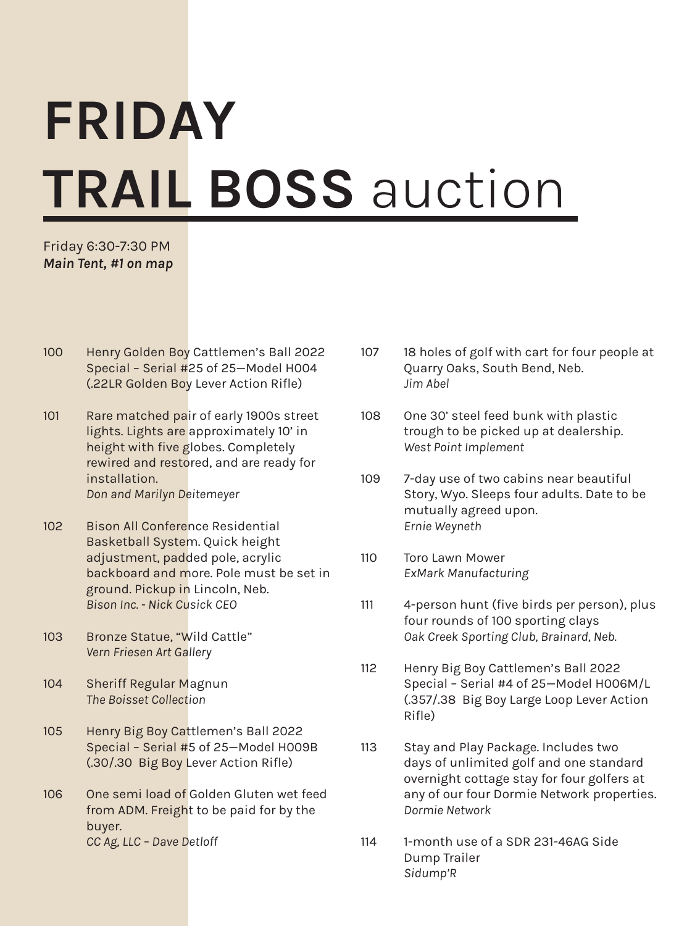## FRIDAY TRAIL BOSS auction

Friday 6:30-7:30 PM *Main Tent, #1 on map*

- 100 Henry Golden Boy Cattlemen's Ball 2022 Special – Serial #25 of 25—Model H004 (.22LR Golden Boy Lever Action Rifle)
- 101 Rare matched pair of early 1900s street lights. Lights are approximately 10' in height with five globes. Completely rewired and restored, and are ready for installation. *Don and Marilyn Deitemeyer*
- 102 Bison All Conference Residential Basketball System. Quick height adjustment, padded pole, acrylic backboard and more. Pole must be set in ground. Pickup in Lincoln, Neb. *Bison Inc. - Nick Cusick CEO*
- 103 Bronze Statue, "Wild Cattle" *Vern Friesen Art Gallery*
- 104 Sheriff Regular Magnun *The Boisset Collection*
- 105 Henry Big Boy Cattlemen's Ball 2022 Special – Serial #5 of 25—Model H009B (.30/.30 Big Boy Lever Action Rifle)
- 106 One semi load of Golden Gluten wet feed from ADM. Freight to be paid for by the buyer. *CC Ag, LLC – Dave Detloff*
- 107 18 holes of golf with cart for four people at Quarry Oaks, South Bend, Neb. *Jim Abel*
- 108 One 30' steel feed bunk with plastic trough to be picked up at dealership. *West Point Implement*
- 109 7-day use of two cabins near beautiful Story, Wyo. Sleeps four adults. Date to be mutually agreed upon. *Ernie Weyneth*
- 110 Toro Lawn Mower *ExMark Manufacturing*
- 111 4-person hunt (five birds per person), plus four rounds of 100 sporting clays *Oak Creek Sporting Club, Brainard, Neb.*
- 112 Henry Big Boy Cattlemen's Ball 2022 Special – Serial #4 of 25—Model H006M/L (.357/.38 Big Boy Large Loop Lever Action Rifle)
- 113 Stay and Play Package. Includes two days of unlimited golf and one standard overnight cottage stay for four golfers at any of our four Dormie Network properties. *Dormie Network*
- 114 1-month use of a SDR 231-46AG Side Dump Trailer *Sidump'R*